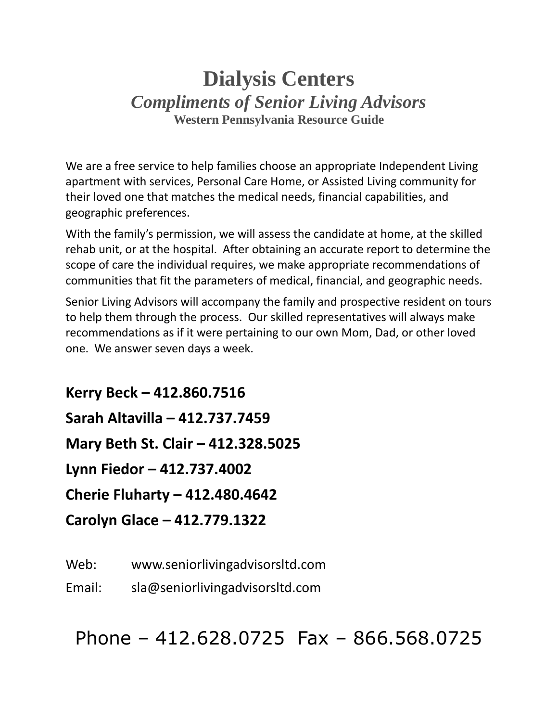# **Dialysis Centers** *Compliments of Senior Living Advisors* **Western Pennsylvania Resource Guide**

We are a free service to help families choose an appropriate Independent Living apartment with services, Personal Care Home, or Assisted Living community for their loved one that matches the medical needs, financial capabilities, and geographic preferences.

With the family's permission, we will assess the candidate at home, at the skilled rehab unit, or at the hospital. After obtaining an accurate report to determine the scope of care the individual requires, we make appropriate recommendations of communities that fit the parameters of medical, financial, and geographic needs.

Senior Living Advisors will accompany the family and prospective resident on tours to help them through the process. Our skilled representatives will always make recommendations as if it were pertaining to our own Mom, Dad, or other loved one. We answer seven days a week.

**Kerry Beck – 412.860.7516 Sarah Altavilla – 412.737.7459 Mary Beth St. Clair – 412.328.5025 Lynn Fiedor – 412.737.4002 Cherie Fluharty – 412.480.4642 Carolyn Glace – 412.779.1322**

Web: www.seniorlivingadvisorsltd.com

Email: sla@seniorlivingadvisorsltd.com

Phone – 412.628.0725 Fax – 866.568.0725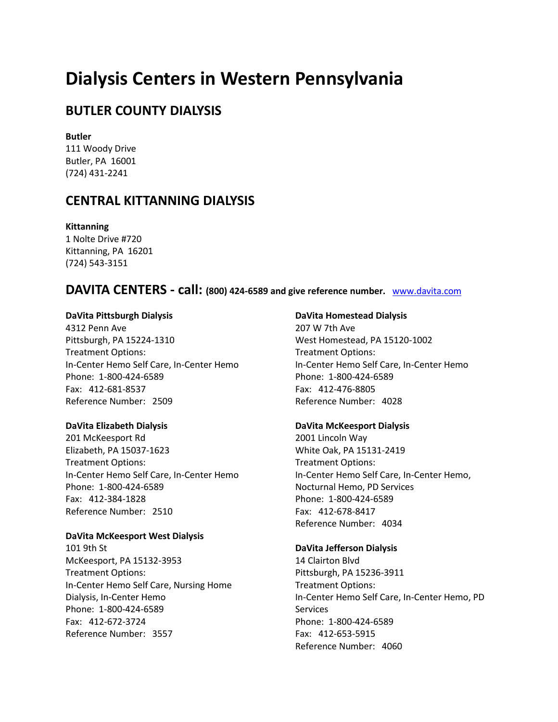# **Dialysis Centers in Western Pennsylvania**

## **BUTLER COUNTY DIALYSIS**

## **Butler**

111 Woody Drive Butler, PA 16001 (724) 431-2241

## **CENTRAL KITTANNING DIALYSIS**

## **Kittanning**

1 Nolte Drive #720 Kittanning, PA 16201 (724) 543-3151

## **DAVITA CENTERS - call: (800) 424-6589 and give reference number.** [www.davita.com](http://www.davita.com/)

## **DaVita Pittsburgh Dialysis**

4312 Penn Ave Pittsburgh, PA 15224-1310 Treatment Options: In-Center Hemo Self Care, In-Center Hemo Phone: 1-800-424-6589 Fax: 412-681-8537 Reference Number: 2509

## **DaVita Elizabeth Dialysis**

201 McKeesport Rd Elizabeth, PA 15037-1623 Treatment Options: In-Center Hemo Self Care, In-Center Hemo Phone: 1-800-424-6589 Fax: 412-384-1828 Reference Number: 2510

## **DaVita McKeesport West Dialysis**

101 9th St McKeesport, PA 15132-3953 Treatment Options: In-Center Hemo Self Care, Nursing Home Dialysis, In-Center Hemo Phone: 1-800-424-6589 Fax: 412-672-3724 Reference Number: 3557

## **DaVita Homestead Dialysis**

207 W 7th Ave West Homestead, PA 15120-1002 Treatment Options: In-Center Hemo Self Care, In-Center Hemo Phone: 1-800-424-6589 Fax: 412-476-8805 Reference Number: 4028

## **DaVita McKeesport Dialysis**

2001 Lincoln Way White Oak, PA 15131-2419 Treatment Options: In-Center Hemo Self Care, In-Center Hemo, Nocturnal Hemo, PD Services Phone: 1-800-424-6589 Fax: 412-678-8417 Reference Number: 4034

## **DaVita Jefferson Dialysis**

14 Clairton Blvd Pittsburgh, PA 15236-3911 Treatment Options: In-Center Hemo Self Care, In-Center Hemo, PD **Services** Phone: 1-800-424-6589 Fax: 412-653-5915 Reference Number: 4060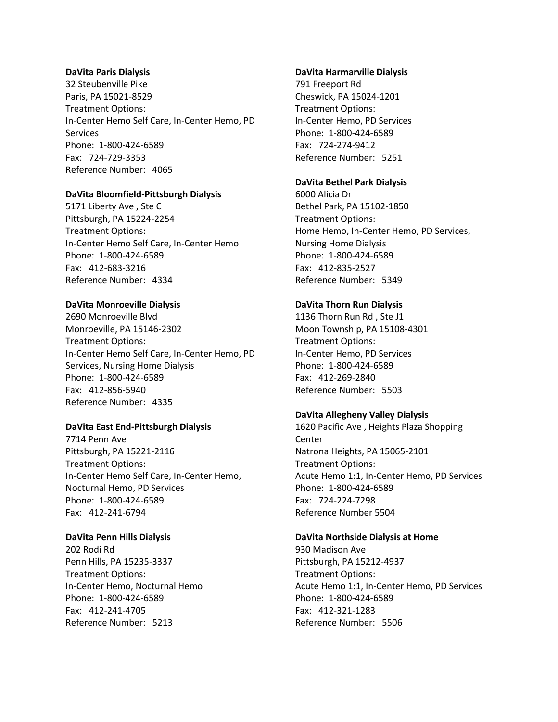#### **DaVita Paris Dialysis**

32 Steubenville Pike Paris, PA 15021-8529 Treatment Options: In-Center Hemo Self Care, In-Center Hemo, PD Services Phone: 1-800-424-6589 Fax: 724-729-3353 Reference Number: 4065

### **DaVita Bloomfield-Pittsburgh Dialysis**

5171 Liberty Ave , Ste C Pittsburgh, PA 15224-2254 Treatment Options: In-Center Hemo Self Care, In-Center Hemo Phone: 1-800-424-6589 Fax: 412-683-3216 Reference Number: 4334

#### **DaVita Monroeville Dialysis**

2690 Monroeville Blvd Monroeville, PA 15146-2302 Treatment Options: In-Center Hemo Self Care, In-Center Hemo, PD Services, Nursing Home Dialysis Phone: 1-800-424-6589 Fax: 412-856-5940 Reference Number: 4335

## **DaVita East End-Pittsburgh Dialysis**

7714 Penn Ave Pittsburgh, PA 15221-2116 Treatment Options: In-Center Hemo Self Care, In-Center Hemo, Nocturnal Hemo, PD Services Phone: 1-800-424-6589 Fax: 412-241-6794

### **DaVita Penn Hills Dialysis**

202 Rodi Rd Penn Hills, PA 15235-3337 Treatment Options: In-Center Hemo, Nocturnal Hemo Phone: 1-800-424-6589 Fax: 412-241-4705 Reference Number: 5213

#### **DaVita Harmarville Dialysis**

791 Freeport Rd Cheswick, PA 15024-1201 Treatment Options: In-Center Hemo, PD Services Phone: 1-800-424-6589 Fax: 724-274-9412 Reference Number: 5251

#### **DaVita Bethel Park Dialysis**

6000 Alicia Dr Bethel Park, PA 15102-1850 Treatment Options: Home Hemo, In-Center Hemo, PD Services, Nursing Home Dialysis Phone: 1-800-424-6589 Fax: 412-835-2527 Reference Number: 5349

#### **DaVita Thorn Run Dialysis**

1136 Thorn Run Rd , Ste J1 Moon Township, PA 15108-4301 Treatment Options: In-Center Hemo, PD Services Phone: 1-800-424-6589 Fax: 412-269-2840 Reference Number: 5503

#### **DaVita Allegheny Valley Dialysis**

1620 Pacific Ave , Heights Plaza Shopping Center Natrona Heights, PA 15065-2101 Treatment Options: Acute Hemo 1:1, In-Center Hemo, PD Services Phone: 1-800-424-6589 Fax: 724-224-7298 Reference Number 5504

## **DaVita Northside Dialysis at Home**

930 Madison Ave Pittsburgh, PA 15212-4937 Treatment Options: Acute Hemo 1:1, In-Center Hemo, PD Services Phone: 1-800-424-6589 Fax: 412-321-1283 Reference Number: 5506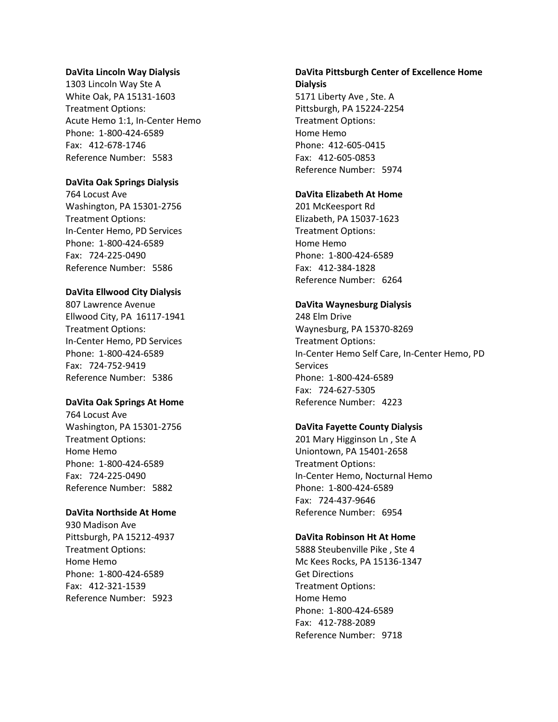#### **DaVita Lincoln Way Dialysis**

1303 Lincoln Way Ste A White Oak, PA 15131-1603 Treatment Options: Acute Hemo 1:1, In-Center Hemo Phone: 1-800-424-6589 Fax: 412-678-1746 Reference Number: 5583

## **DaVita Oak Springs Dialysis**

764 Locust Ave Washington, PA 15301-2756 Treatment Options: In-Center Hemo, PD Services Phone: 1-800-424-6589 Fax: 724-225-0490 Reference Number: 5586

## **DaVita Ellwood City Dialysis**

807 Lawrence Avenue Ellwood City, PA 16117-1941 Treatment Options: In-Center Hemo, PD Services Phone: 1-800-424-6589 Fax: 724-752-9419 Reference Number: 5386

## **DaVita Oak Springs At Home**

764 Locust Ave Washington, PA 15301-2756 Treatment Options: Home Hemo Phone: 1-800-424-6589 Fax: 724-225-0490 Reference Number: 5882

## **DaVita Northside At Home**

930 Madison Ave Pittsburgh, PA 15212-4937 Treatment Options: Home Hemo Phone: 1-800-424-6589 Fax: 412-321-1539 Reference Number: 5923

## **DaVita Pittsburgh Center of Excellence Home Dialysis** 5171 Liberty Ave , Ste. A

Pittsburgh, PA 15224-2254 Treatment Options: Home Hemo Phone: 412-605-0415 Fax: 412-605-0853 Reference Number: 5974

## **DaVita Elizabeth At Home**

201 McKeesport Rd Elizabeth, PA 15037-1623 Treatment Options: Home Hemo Phone: 1-800-424-6589 Fax: 412-384-1828 Reference Number: 6264

## **DaVita Waynesburg Dialysis**

248 Elm Drive Waynesburg, PA 15370-8269 Treatment Options: In-Center Hemo Self Care, In-Center Hemo, PD **Services** Phone: 1-800-424-6589 Fax: 724-627-5305 Reference Number: 4223

## **DaVita Fayette County Dialysis**

201 Mary Higginson Ln , Ste A Uniontown, PA 15401-2658 Treatment Options: In-Center Hemo, Nocturnal Hemo Phone: 1-800-424-6589 Fax: 724-437-9646 Reference Number: 6954

## **DaVita Robinson Ht At Home**

5888 Steubenville Pike , Ste 4 Mc Kees Rocks, PA 15136-1347 Get Directions Treatment Options: Home Hemo Phone: 1-800-424-6589 Fax: 412-788-2089 Reference Number: 9718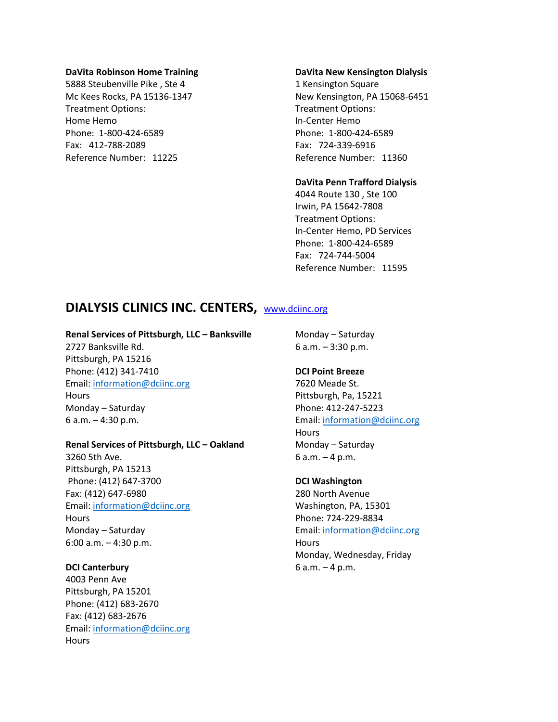### **DaVita Robinson Home Training**

5888 Steubenville Pike , Ste 4 Mc Kees Rocks, PA 15136-1347 Treatment Options: Home Hemo Phone: 1-800-424-6589 Fax: 412-788-2089 Reference Number: 11225

### **DaVita New Kensington Dialysis**

1 Kensington Square New Kensington, PA 15068-6451 Treatment Options: In-Center Hemo Phone: 1-800-424-6589 Fax: 724-339-6916 Reference Number: 11360

## **DaVita Penn Trafford Dialysis**

4044 Route 130 , Ste 100 Irwin, PA 15642-7808 Treatment Options: In-Center Hemo, PD Services Phone: 1-800-424-6589 Fax: 724-744-5004 Reference Number: 11595

## **DIALYSIS CLINICS INC. CENTERS,** [www.dciinc.org](http://www.dciinc.org/)

## **Renal Services of Pittsburgh, LLC – Banksville**

2727 Banksville Rd. Pittsburgh, PA 15216 Phone: (412) 341-7410 Email: [information@dciinc.org](mailto:information@dciinc.org) Hours Monday – Saturday 6 a.m. – 4:30 p.m.

#### **Renal Services of Pittsburgh, LLC – Oakland**

3260 5th Ave. Pittsburgh, PA 15213 Phone: (412) 647-3700 Fax: (412) 647-6980 Email: [information@dciinc.org](mailto:information@dciinc.org) **Hours** Monday – Saturday 6:00 a.m. – 4:30 p.m.

## **DCI Canterbury**

4003 Penn Ave Pittsburgh, PA 15201 Phone: (412) 683-2670 Fax: (412) 683-2676 Email: [information@dciinc.org](mailto:information@dciinc.org) **Hours** 

Monday – Saturday 6 a.m. – 3:30 p.m.

## **DCI Point Breeze**

7620 Meade St. Pittsburgh, Pa, 15221 Phone: 412-247-5223 Email: [information@dciinc.org](mailto:information@dciinc.org) **Hours** Monday – Saturday 6 a.m. – 4 p.m.

## **DCI Washington**

280 North Avenue Washington, PA, 15301 Phone: 724-229-8834 Email: [information@dciinc.org](mailto:information@dciinc.org) **Hours** Monday, Wednesday, Friday 6 a.m. – 4 p.m.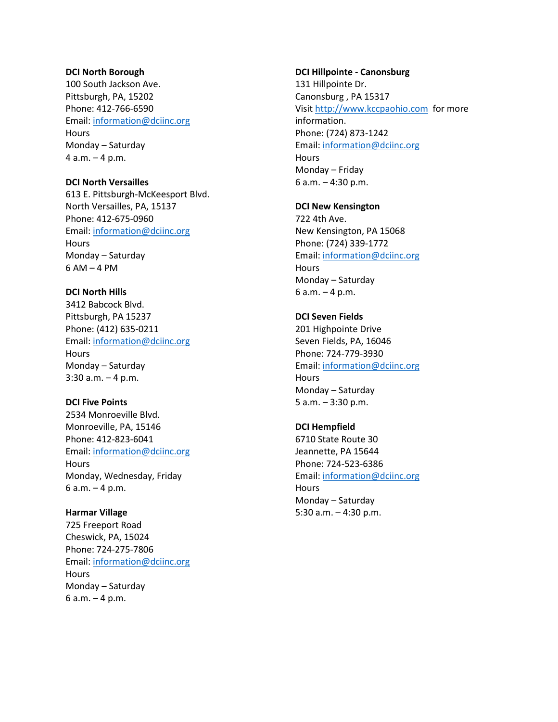#### **DCI North Borough**

100 South Jackson Ave. Pittsburgh, PA, 15202 Phone: 412-766-6590 Email: [information@dciinc.org](mailto:information@dciinc.org) **Hours** Monday – Saturday 4 a.m. – 4 p.m.

**DCI North Versailles** 613 E. Pittsburgh-McKeesport Blvd. North Versailles, PA, 15137 Phone: 412-675-0960 Email: [information@dciinc.org](mailto:information@dciinc.org) **Hours** Monday – Saturday 6 AM – 4 PM

## **DCI North Hills**

3412 Babcock Blvd. Pittsburgh, PA 15237 Phone: (412) 635-0211 Email: [information@dciinc.org](mailto:information@dciinc.org) **Hours** Monday – Saturday 3:30 a.m. – 4 p.m.

## **DCI Five Points**

2534 Monroeville Blvd. Monroeville, PA, 15146 Phone: 412-823-6041 Email: [information@dciinc.org](mailto:information@dciinc.org) **Hours** Monday, Wednesday, Friday 6 a.m. – 4 p.m.

## **Harmar Village**

725 Freeport Road Cheswick, PA, 15024 Phone: 724-275-7806 Email: [information@dciinc.org](mailto:information@dciinc.org) **Hours** Monday – Saturday 6 a.m. – 4 p.m.

## **DCI Hillpointe - Canonsburg**

131 Hillpointe Dr. Canonsburg , PA 15317 Visit [http://www.kccpaohio.com](http://www.kccpaohio.com/) for more information. Phone: (724) 873-1242 Email: [information@dciinc.org](mailto:information@dciinc.org) **Hours** Monday – Friday 6 a.m. – 4:30 p.m.

#### **DCI New Kensington**

722 4th Ave. New Kensington, PA 15068 Phone: (724) 339-1772 Email: [information@dciinc.org](mailto:information@dciinc.org) **Hours** Monday – Saturday 6 a.m. – 4 p.m.

## **DCI Seven Fields**

201 Highpointe Drive Seven Fields, PA, 16046 Phone: 724-779-3930 Email: [information@dciinc.org](mailto:information@dciinc.org) **Hours** Monday – Saturday 5 a.m. – 3:30 p.m.

## **DCI Hempfield**

6710 State Route 30 Jeannette, PA 15644 Phone: 724-523-6386 Email: [information@dciinc.org](mailto:information@dciinc.org) **Hours** Monday – Saturday 5:30 a.m. – 4:30 p.m.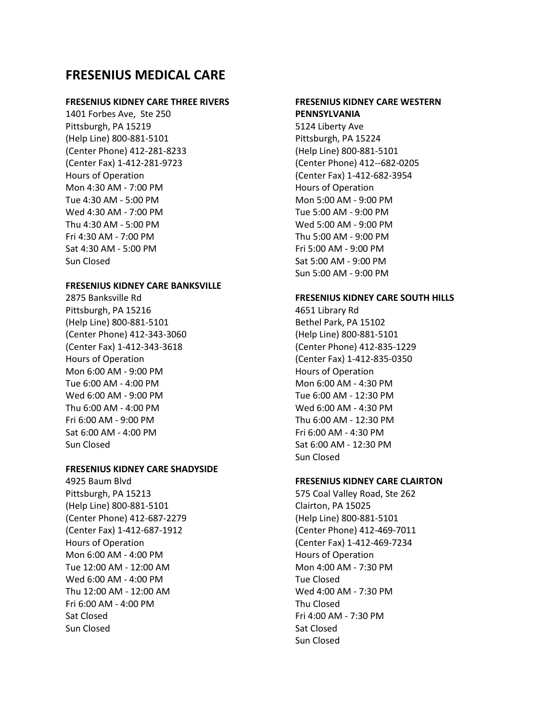## **FRESENIUS MEDICAL CARE**

## **FRESENIUS KIDNEY CARE THREE RIVERS**

1401 Forbes Ave, Ste 250 Pittsburgh, PA 15219 (Help Line) 800-881-5101 (Center Phone) 412-281-8233 (Center Fax) 1-412-281-9723 Hours of Operation Mon 4:30 AM - 7:00 PM Tue 4:30 AM - 5:00 PM Wed 4:30 AM - 7:00 PM Thu 4:30 AM - 5:00 PM Fri 4:30 AM - 7:00 PM Sat 4:30 AM - 5:00 PM Sun Closed

## **FRESENIUS KIDNEY CARE BANKSVILLE**

2875 Banksville Rd Pittsburgh, PA 15216 (Help Line) 800-881-5101 (Center Phone) 412-343-3060 (Center Fax) 1-412-343-3618 Hours of Operation Mon 6:00 AM - 9:00 PM Tue 6:00 AM - 4:00 PM Wed 6:00 AM - 9:00 PM Thu 6:00 AM - 4:00 PM Fri 6:00 AM - 9:00 PM Sat 6:00 AM - 4:00 PM Sun Closed

#### **FRESENIUS KIDNEY CARE SHADYSIDE**

4925 Baum Blvd Pittsburgh, PA 15213 (Help Line) 800-881-5101 (Center Phone) 412-687-2279 (Center Fax) 1-412-687-1912 Hours of Operation Mon 6:00 AM - 4:00 PM Tue 12:00 AM - 12:00 AM Wed 6:00 AM - 4:00 PM Thu 12:00 AM - 12:00 AM Fri 6:00 AM - 4:00 PM Sat Closed Sun Closed

### **FRESENIUS KIDNEY CARE WESTERN PENNSYLVANIA**

5124 Liberty Ave Pittsburgh, PA 15224 (Help Line) 800-881-5101 (Center Phone) 412--682-0205 (Center Fax) 1-412-682-3954 Hours of Operation Mon 5:00 AM - 9:00 PM Tue 5:00 AM - 9:00 PM Wed 5:00 AM - 9:00 PM Thu 5:00 AM - 9:00 PM Fri 5:00 AM - 9:00 PM Sat 5:00 AM - 9:00 PM Sun 5:00 AM - 9:00 PM

## **FRESENIUS KIDNEY CARE SOUTH HILLS**

4651 Library Rd Bethel Park, PA 15102 (Help Line) 800-881-5101 (Center Phone) 412-835-1229 (Center Fax) 1-412-835-0350 Hours of Operation Mon 6:00 AM - 4:30 PM Tue 6:00 AM - 12:30 PM Wed 6:00 AM - 4:30 PM Thu 6:00 AM - 12:30 PM Fri 6:00 AM - 4:30 PM Sat 6:00 AM - 12:30 PM Sun Closed

## **FRESENIUS KIDNEY CARE CLAIRTON**

575 Coal Valley Road, Ste 262 Clairton, PA 15025 (Help Line) 800-881-5101 (Center Phone) 412-469-7011 (Center Fax) 1-412-469-7234 Hours of Operation Mon 4:00 AM - 7:30 PM Tue Closed Wed 4:00 AM - 7:30 PM Thu Closed Fri 4:00 AM - 7:30 PM Sat Closed Sun Closed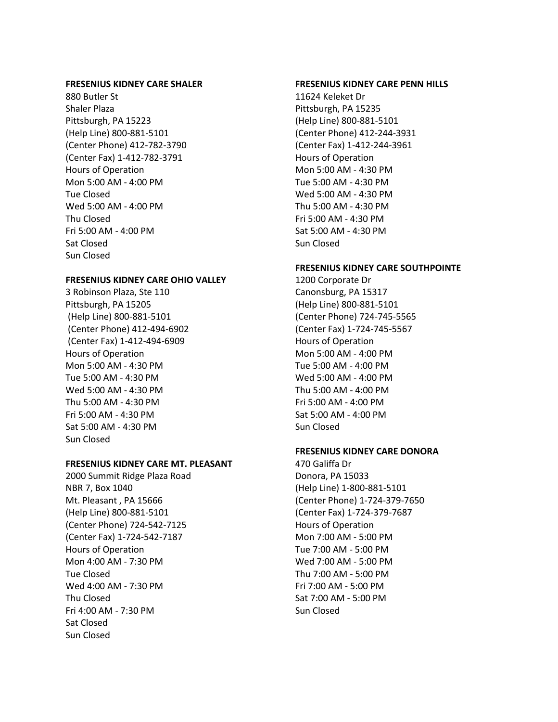### **FRESENIUS KIDNEY CARE SHALER**

880 Butler St Shaler Plaza Pittsburgh, PA 15223 (Help Line) 800-881-5101 (Center Phone) 412-782-3790 (Center Fax) 1-412-782-3791 Hours of Operation Mon 5:00 AM - 4:00 PM Tue Closed Wed 5:00 AM - 4:00 PM Thu Closed Fri 5:00 AM - 4:00 PM Sat Closed Sun Closed

## **FRESENIUS KIDNEY CARE OHIO VALLEY**

3 Robinson Plaza, Ste 110 Pittsburgh, PA 15205 (Help Line) 800-881-5101 (Center Phone) 412-494-6902 (Center Fax) 1-412-494-6909 Hours of Operation Mon 5:00 AM - 4:30 PM Tue 5:00 AM - 4:30 PM Wed 5:00 AM - 4:30 PM Thu 5:00 AM - 4:30 PM Fri 5:00 AM - 4:30 PM Sat 5:00 AM - 4:30 PM Sun Closed

## **FRESENIUS KIDNEY CARE MT. PLEASANT**

2000 Summit Ridge Plaza Road NBR 7, Box 1040 Mt. Pleasant , PA 15666 (Help Line) 800-881-5101 (Center Phone) 724-542-7125 (Center Fax) 1-724-542-7187 Hours of Operation Mon 4:00 AM - 7:30 PM Tue Closed Wed 4:00 AM - 7:30 PM Thu Closed Fri 4:00 AM - 7:30 PM Sat Closed Sun Closed

#### **FRESENIUS KIDNEY CARE PENN HILLS**

11624 Keleket Dr Pittsburgh, PA 15235 (Help Line) 800-881-5101 (Center Phone) 412-244-3931 (Center Fax) 1-412-244-3961 Hours of Operation Mon 5:00 AM - 4:30 PM Tue 5:00 AM - 4:30 PM Wed 5:00 AM - 4:30 PM Thu 5:00 AM - 4:30 PM Fri 5:00 AM - 4:30 PM Sat 5:00 AM - 4:30 PM Sun Closed

## **FRESENIUS KIDNEY CARE SOUTHPOINTE**

1200 Corporate Dr Canonsburg, PA 15317 (Help Line) 800-881-5101 (Center Phone) 724-745-5565 (Center Fax) 1-724-745-5567 Hours of Operation Mon 5:00 AM - 4:00 PM Tue 5:00 AM - 4:00 PM Wed 5:00 AM - 4:00 PM Thu 5:00 AM - 4:00 PM Fri 5:00 AM - 4:00 PM Sat 5:00 AM - 4:00 PM Sun Closed

## **FRESENIUS KIDNEY CARE DONORA**

470 Galiffa Dr Donora, PA 15033 (Help Line) 1-800-881-5101 (Center Phone) 1-724-379-7650 (Center Fax) 1-724-379-7687 Hours of Operation Mon 7:00 AM - 5:00 PM Tue 7:00 AM - 5:00 PM Wed 7:00 AM - 5:00 PM Thu 7:00 AM - 5:00 PM Fri 7:00 AM - 5:00 PM Sat 7:00 AM - 5:00 PM Sun Closed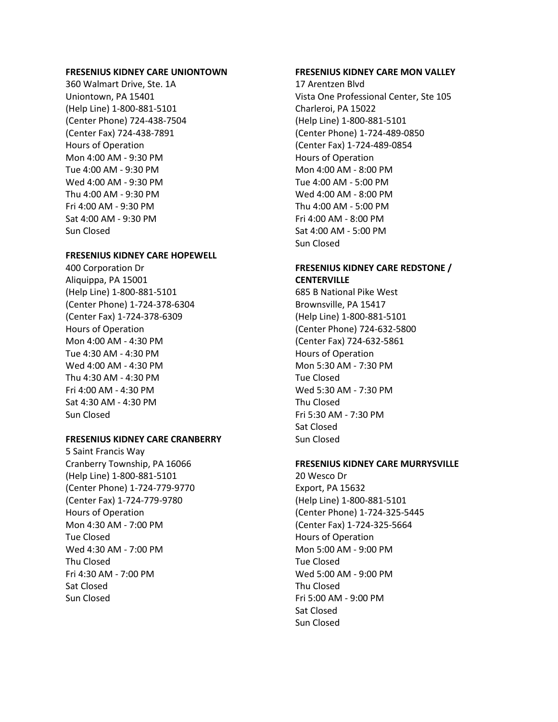#### **FRESENIUS KIDNEY CARE UNIONTOWN**

360 Walmart Drive, Ste. 1A Uniontown, PA 15401 (Help Line) 1-800-881-5101 (Center Phone) 724-438-7504 (Center Fax) 724-438-7891 Hours of Operation Mon 4:00 AM - 9:30 PM Tue 4:00 AM - 9:30 PM Wed 4:00 AM - 9:30 PM Thu 4:00 AM - 9:30 PM Fri 4:00 AM - 9:30 PM Sat 4:00 AM - 9:30 PM Sun Closed

### **FRESENIUS KIDNEY CARE HOPEWELL**

400 Corporation Dr Aliquippa, PA 15001 (Help Line) 1-800-881-5101 (Center Phone) 1-724-378-6304 (Center Fax) 1-724-378-6309 Hours of Operation Mon 4:00 AM - 4:30 PM Tue 4:30 AM - 4:30 PM Wed 4:00 AM - 4:30 PM Thu 4:30 AM - 4:30 PM Fri 4:00 AM - 4:30 PM Sat 4:30 AM - 4:30 PM Sun Closed

## **FRESENIUS KIDNEY CARE CRANBERRY**

5 Saint Francis Way Cranberry Township, PA 16066 (Help Line) 1-800-881-5101 (Center Phone) 1-724-779-9770 (Center Fax) 1-724-779-9780 Hours of Operation Mon 4:30 AM - 7:00 PM Tue Closed Wed 4:30 AM - 7:00 PM Thu Closed Fri 4:30 AM - 7:00 PM Sat Closed Sun Closed

#### **FRESENIUS KIDNEY CARE MON VALLEY**

17 Arentzen Blvd Vista One Professional Center, Ste 105 Charleroi, PA 15022 (Help Line) 1-800-881-5101 (Center Phone) 1-724-489-0850 (Center Fax) 1-724-489-0854 Hours of Operation Mon 4:00 AM - 8:00 PM Tue 4:00 AM - 5:00 PM Wed 4:00 AM - 8:00 PM Thu 4:00 AM - 5:00 PM Fri 4:00 AM - 8:00 PM Sat 4:00 AM - 5:00 PM Sun Closed

## **FRESENIUS KIDNEY CARE REDSTONE / CENTERVILLE**

685 B National Pike West Brownsville, PA 15417 (Help Line) 1-800-881-5101 (Center Phone) 724-632-5800 (Center Fax) 724-632-5861 Hours of Operation Mon 5:30 AM - 7:30 PM Tue Closed Wed 5:30 AM - 7:30 PM Thu Closed Fri 5:30 AM - 7:30 PM Sat Closed Sun Closed

## **FRESENIUS KIDNEY CARE MURRYSVILLE**

20 Wesco Dr Export, PA 15632 (Help Line) 1-800-881-5101 (Center Phone) 1-724-325-5445 (Center Fax) 1-724-325-5664 Hours of Operation Mon 5:00 AM - 9:00 PM Tue Closed Wed 5:00 AM - 9:00 PM Thu Closed Fri 5:00 AM - 9:00 PM Sat Closed Sun Closed